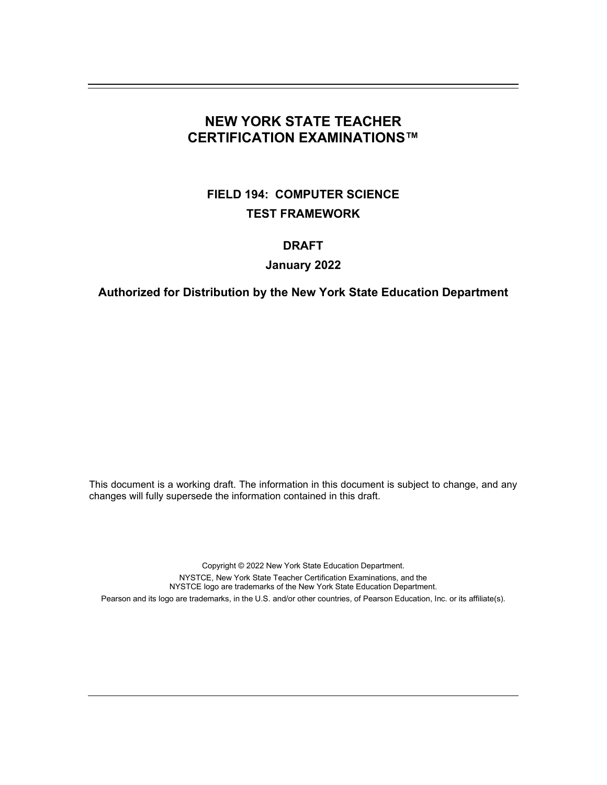# **NEW YORK STATE TEACHER CERTIFICATION EXAMINATIONS™**

# **FIELD 194: COMPUTER SCIENCE TEST FRAMEWORK**

# **DRAFT**

# **January 2022**

# **Authorized for Distribution by the New York State Education Department**

This document is a working draft. The information in this document is subject to change, and any changes will fully supersede the information contained in this draft.

Copyright © 2022 New York State Education Department. NYSTCE, New York State Teacher Certification Examinations, and the NYSTCE logo are trademarks of the New York State Education Department. Pearson and its logo are trademarks, in the U.S. and/or other countries, of Pearson Education, Inc. or its affiliate(s).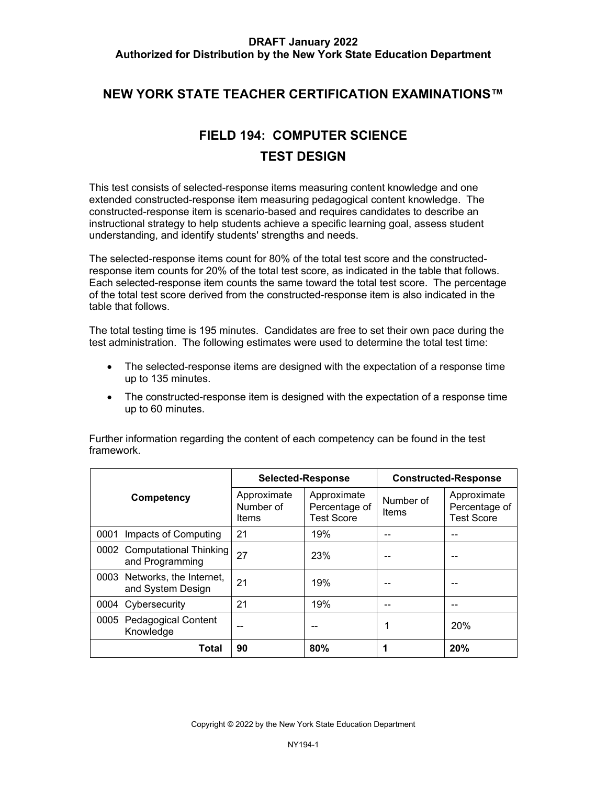# **NEW YORK STATE TEACHER CERTIFICATION EXAMINATIONS™**

# **FIELD 194: COMPUTER SCIENCE TEST DESIGN**

 This test consists of selected-response items measuring content knowledge and one extended constructed-response item measuring pedagogical content knowledge. The constructed-response item is scenario-based and requires candidates to describe an instructional strategy to help students achieve a specific learning goal, assess student understanding, and identify students' strengths and needs.

 The selected-response items count for 80% of the total test score and the constructed- response item counts for 20% of the total test score, as indicated in the table that follows. Each selected-response item counts the same toward the total test score. The percentage table that follows. of the total test score derived from the constructed-response item is also indicated in the

 The total testing time is 195 minutes. Candidates are free to set their own pace during the test administration. The following estimates were used to determine the total test time:

- The selected-response items are designed with the expectation of a response time up to 135 minutes.
- The constructed-response item is designed with the expectation of a response time up to 60 minutes.

|                                                   | <b>Selected-Response</b>          |                                                   | <b>Constructed-Response</b> |                                                   |
|---------------------------------------------------|-----------------------------------|---------------------------------------------------|-----------------------------|---------------------------------------------------|
| Competency                                        | Approximate<br>Number of<br>Items | Approximate<br>Percentage of<br><b>Test Score</b> | Number of<br>Items          | Approximate<br>Percentage of<br><b>Test Score</b> |
| 0001 Impacts of Computing                         | 21                                | 19%                                               |                             |                                                   |
| 0002 Computational Thinking<br>and Programming    | 27                                | 23%                                               |                             |                                                   |
| 0003 Networks, the Internet,<br>and System Design | 21                                | 19%                                               |                             |                                                   |
| 0004 Cybersecurity                                | 21                                | 19%                                               |                             |                                                   |
| <b>Pedagogical Content</b><br>0005<br>Knowledge   |                                   |                                                   | 1                           | 20%                                               |
| Total                                             | 90                                | 80%                                               |                             | 20%                                               |

 Further information regarding the content of each competency can be found in the test framework.

Copyright © 2022 by the New York State Education Department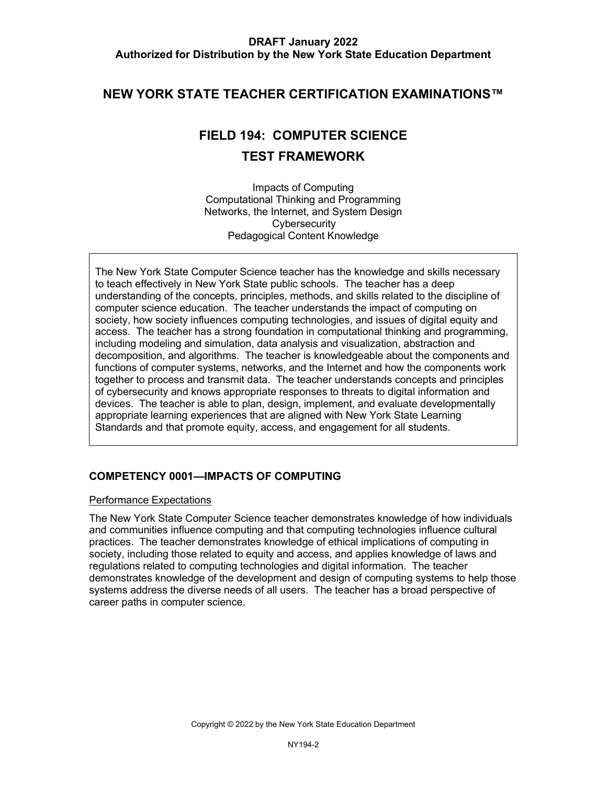# **NEW YORK STATE TEACHER CERTIFICATION EXAMINATIONS™**

# **FIELD 194: COMPUTER SCIENCE TEST FRAMEWORK**

 Impacts of Computing Pedagogical Content Knowledge Computational Thinking and Programming Networks, the Internet, and System Design **Cybersecurity** 

 The New York State Computer Science teacher has the knowledge and skills necessary to teach effectively in New York State public schools. The teacher has a deep computer science education. The teacher understands the impact of computing on access. The teacher has a strong foundation in computational thinking and programming, decomposition, and algorithms. The teacher is knowledgeable about the components and functions of computer systems, networks, and the Internet and how the components work together to process and transmit data. The teacher understands concepts and principles of cybersecurity and knows appropriate responses to threats to digital information and devices. The teacher is able to plan, design, implement, and evaluate developmentally appropriate learning experiences that are aligned with New York State Learning Standards and that promote equity, access, and engagement for all students. understanding of the concepts, principles, methods, and skills related to the discipline of society, how society influences computing technologies, and issues of digital equity and including modeling and simulation, data analysis and visualization, abstraction and

# **COMPETENCY 0001—IMPACTS OF COMPUTING**

#### Performance Expectations

 practices. The teacher demonstrates knowledge of ethical implications of computing in systems address the diverse needs of all users. The teacher has a broad perspective of career paths in computer science. The New York State Computer Science teacher demonstrates knowledge of how individuals and communities influence computing and that computing technologies influence cultural society, including those related to equity and access, and applies knowledge of laws and regulations related to computing technologies and digital information. The teacher demonstrates knowledge of the development and design of computing systems to help those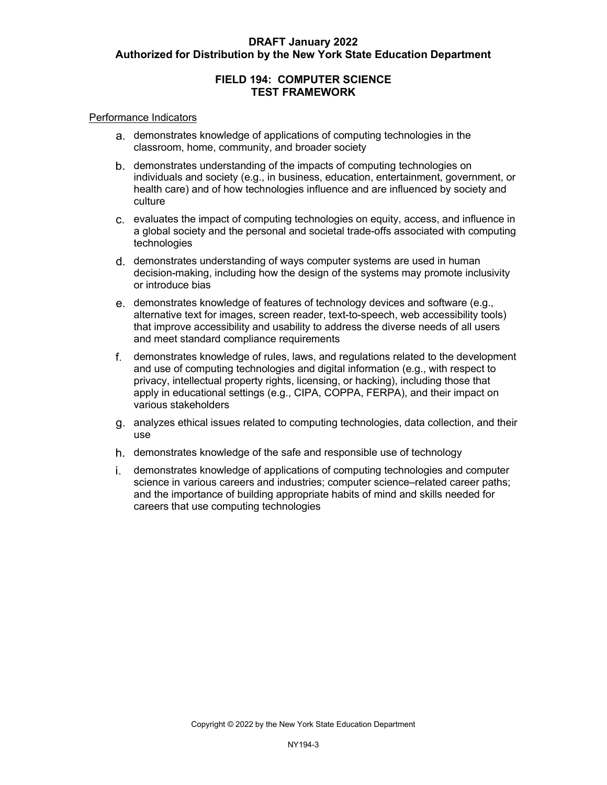# **FIELD 194: COMPUTER SCIENCE TEST FRAMEWORK**

#### Performance Indicators

- classroom, home, community, and broader society demonstrates knowledge of applications of computing technologies in the
- demonstrates understanding of the impacts of computing technologies on individuals and society (e.g., in business, education, entertainment, government, or health care) and of how technologies influence and are influenced by society and culture
- evaluates the impact of computing technologies on equity, access, and influence in a global society and the personal and societal trade-offs associated with computing technologies
- d. demonstrates understanding of ways computer systems are used in human decision-making, including how the design of the systems may promote inclusivity or introduce bias
- demonstrates knowledge of features of technology devices and software (e.g., alternative text for images, screen reader, text-to-speech, web accessibility tools) that improve accessibility and usability to address the diverse needs of all users and meet standard compliance requirements
- demonstrates knowledge of rules, laws, and regulations related to the development and use of computing technologies and digital information (e.g., with respect to privacy, intellectual property rights, licensing, or hacking), including those that apply in educational settings (e.g., CIPA, COPPA, FERPA), and their impact on various stakeholders
- analyzes ethical issues related to computing technologies, data collection, and their use
- demonstrates knowledge of the safe and responsible use of technology
- science in various careers and industries; computer science–related career paths; and the importance of building appropriate habits of mind and skills needed for careers that use computing technologies demonstrates knowledge of applications of computing technologies and computer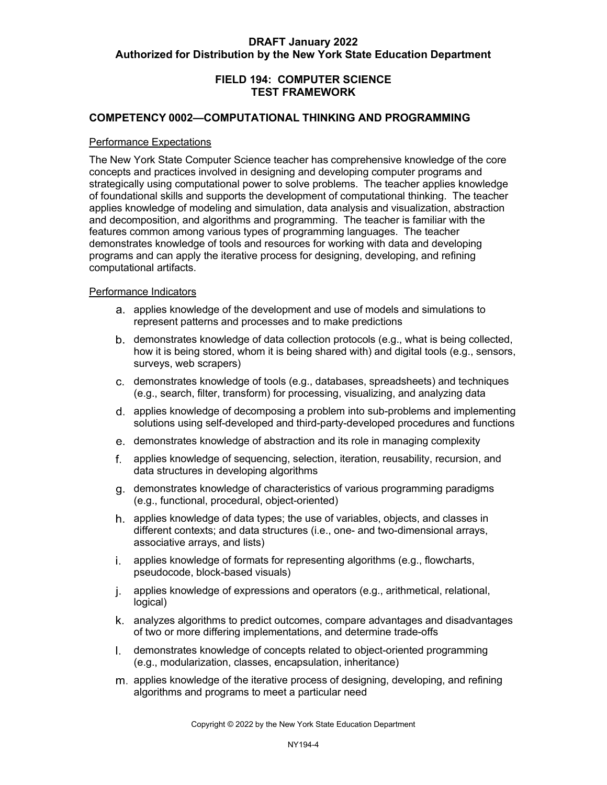## **FIELD 194: COMPUTER SCIENCE TEST FRAMEWORK**

#### **COMPETENCY 0002—COMPUTATIONAL THINKING AND PROGRAMMING**

#### Performance Expectations

 The New York State Computer Science teacher has comprehensive knowledge of the core concepts and practices involved in designing and developing computer programs and strategically using computational power to solve problems. The teacher applies knowledge of foundational skills and supports the development of computational thinking. The teacher and decomposition, and algorithms and programming. The teacher is familiar with the features common among various types of programming languages. The teacher demonstrates knowledge of tools and resources for working with data and developing programs and can apply the iterative process for designing, developing, and refining applies knowledge of modeling and simulation, data analysis and visualization, abstraction computational artifacts.

#### Performance Indicators

- applies knowledge of the development and use of models and simulations to represent patterns and processes and to make predictions
- demonstrates knowledge of data collection protocols (e.g., what is being collected, how it is being stored, whom it is being shared with) and digital tools (e.g., sensors, surveys, web scrapers)
- demonstrates knowledge of tools (e.g., databases, spreadsheets) and techniques (e.g., search, filter, transform) for processing, visualizing, and analyzing data
- solutions using self-developed and third-party-developed procedures and functions applies knowledge of decomposing a problem into sub-problems and implementing
- demonstrates knowledge of abstraction and its role in managing complexity
- applies knowledge of sequencing, selection, iteration, reusability, recursion, and data structures in developing algorithms
- demonstrates knowledge of characteristics of various programming paradigms (e.g., functional, procedural, object-oriented)
- applies knowledge of data types; the use of variables, objects, and classes in different contexts; and data structures (i.e., one- and two-dimensional arrays, associative arrays, and lists)
- applies knowledge of formats for representing algorithms (e.g., flowcharts, pseudocode, block-based visuals)
- applies knowledge of expressions and operators (e.g., arithmetical, relational, logical)
- analyzes algorithms to predict outcomes, compare advantages and disadvantages of two or more differing implementations, and determine trade-offs
- (e.g., modularization, classes, encapsulation, inheritance) I. demonstrates knowledge of concepts related to object-oriented programming
- applies knowledge of the iterative process of designing, developing, and refining algorithms and programs to meet a particular need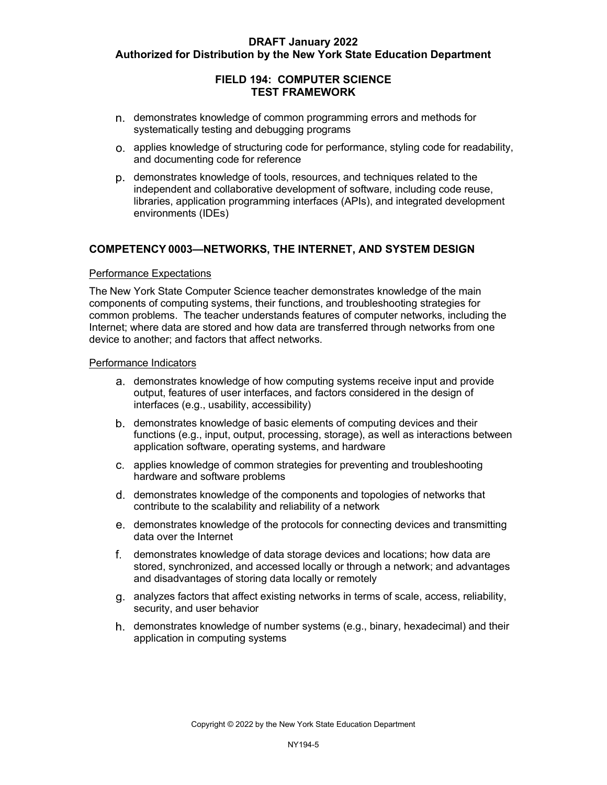## **FIELD 194: COMPUTER SCIENCE TEST FRAMEWORK**

- demonstrates knowledge of common programming errors and methods for systematically testing and debugging programs
- applies knowledge of structuring code for performance, styling code for readability, and documenting code for reference
- demonstrates knowledge of tools, resources, and techniques related to the independent and collaborative development of software, including code reuse, environments (IDEs) libraries, application programming interfaces (APIs), and integrated development

#### **COMPETENCY 0003—NETWORKS, THE INTERNET, AND SYSTEM DESIGN**

#### Performance Expectations

 The New York State Computer Science teacher demonstrates knowledge of the main components of computing systems, their functions, and troubleshooting strategies for common problems. The teacher understands features of computer networks, including the device to another; and factors that affect networks. Internet; where data are stored and how data are transferred through networks from one

#### Performance Indicators

- demonstrates knowledge of how computing systems receive input and provide output, features of user interfaces, and factors considered in the design of interfaces (e.g., usability, accessibility)
- functions (e.g., input, output, processing, storage), as well as interactions between demonstrates knowledge of basic elements of computing devices and their application software, operating systems, and hardware
- hardware and software problems applies knowledge of common strategies for preventing and troubleshooting
- demonstrates knowledge of the components and topologies of networks that contribute to the scalability and reliability of a network
- demonstrates knowledge of the protocols for connecting devices and transmitting data over the Internet
- demonstrates knowledge of data storage devices and locations; how data are stored, synchronized, and accessed locally or through a network; and advantages and disadvantages of storing data locally or remotely
- analyzes factors that affect existing networks in terms of scale, access, reliability, security, and user behavior
- demonstrates knowledge of number systems (e.g., binary, hexadecimal) and their application in computing systems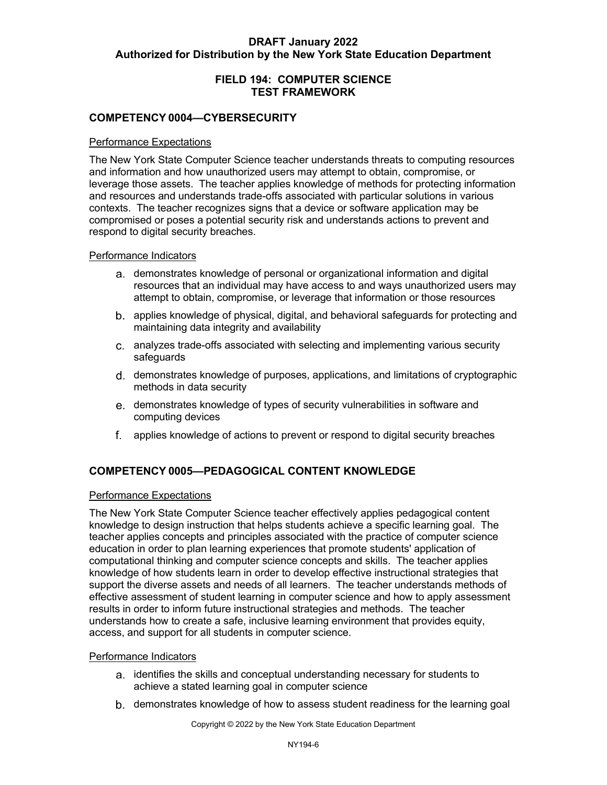# **FIELD 194: COMPUTER SCIENCE TEST FRAMEWORK**

### **COMPETENCY 0004—CYBERSECURITY**

#### Performance Expectations

 and information and how unauthorized users may attempt to obtain, compromise, or leverage those assets. The teacher applies knowledge of methods for protecting information contexts. The teacher recognizes signs that a device or software application may be The New York State Computer Science teacher understands threats to computing resources and resources and understands trade-offs associated with particular solutions in various compromised or poses a potential security risk and understands actions to prevent and respond to digital security breaches.

#### Performance Indicators

- demonstrates knowledge of personal or organizational information and digital attempt to obtain, compromise, or leverage that information or those resources resources that an individual may have access to and ways unauthorized users may
- applies knowledge of physical, digital, and behavioral safeguards for protecting and maintaining data integrity and availability
- analyzes trade-offs associated with selecting and implementing various security safeguards
- demonstrates knowledge of purposes, applications, and limitations of cryptographic methods in data security
- demonstrates knowledge of types of security vulnerabilities in software and computing devices
- applies knowledge of actions to prevent or respond to digital security breaches

# **COMPETENCY 0005—PEDAGOGICAL CONTENT KNOWLEDGE**

#### Performance Expectations

 The New York State Computer Science teacher effectively applies pedagogical content computational thinking and computer science concepts and skills. The teacher applies knowledge of how students learn in order to develop effective instructional strategies that support the diverse assets and needs of all learners. The teacher understands methods of effective assessment of student learning in computer science and how to apply assessment results in order to inform future instructional strategies and methods. The teacher understands how to create a safe, inclusive learning environment that provides equity, access, and support for all students in computer science. knowledge to design instruction that helps students achieve a specific learning goal. The teacher applies concepts and principles associated with the practice of computer science education in order to plan learning experiences that promote students' application of

#### Performance Indicators

- identifies the skills and conceptual understanding necessary for students to achieve a stated learning goal in computer science
- demonstrates knowledge of how to assess student readiness for the learning goal

Copyright © 2022 by the New York State Education Department